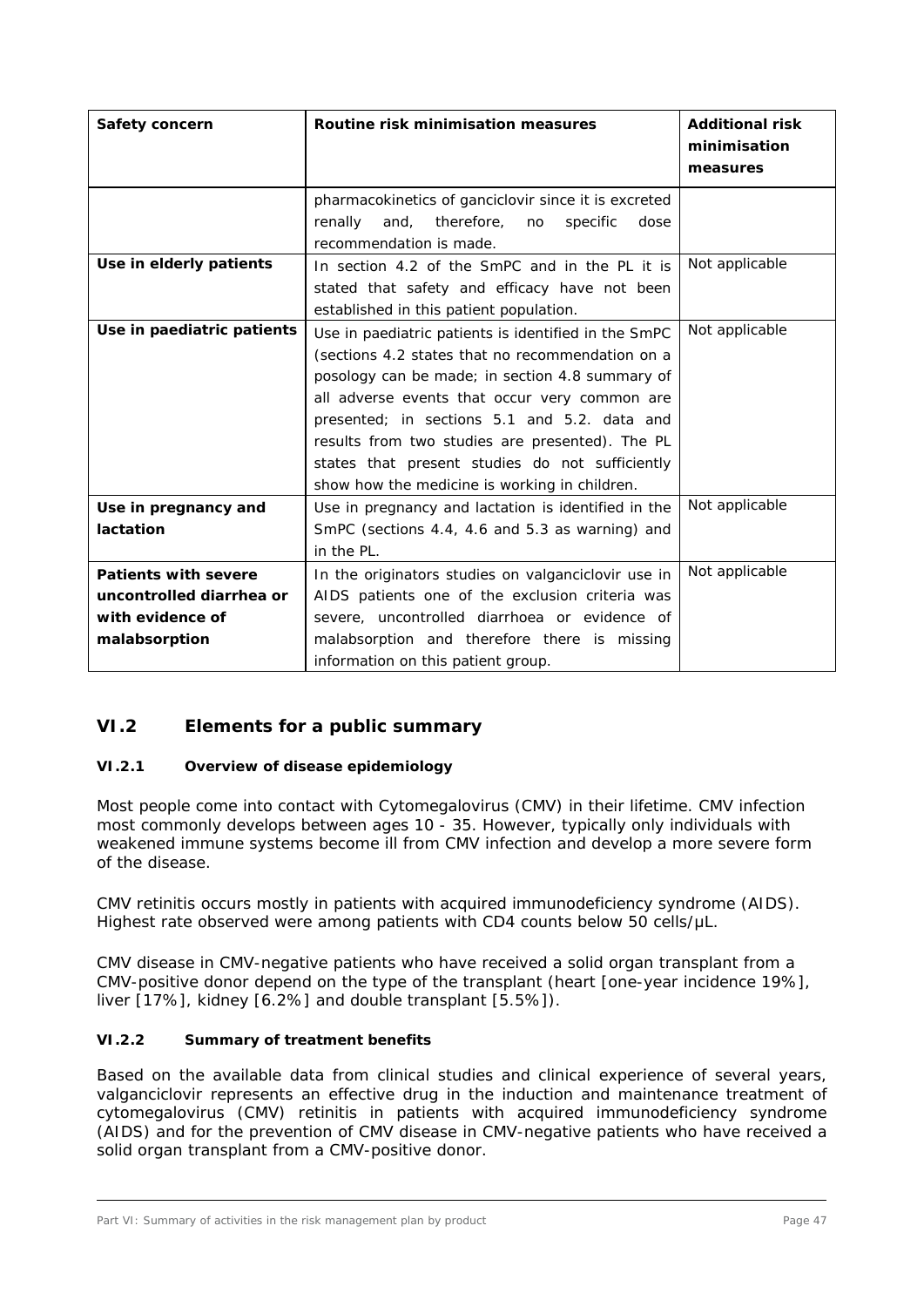## **VI.2 Elements for a public summary**

#### *VI.2.1 Overview of disease epidemiology*

Most people come into contact with Cytomegalovirus (CMV) in their lifetime. CMV infection most commonly develops between ages 10 - 35. However, typically only individuals with weakened immune systems become ill from CMV infection and develop a more severe form of the disease.

CMV retinitis occurs mostly in patients with acquired immunodeficiency syndrome (AIDS). Highest rate observed were among patients with CD4 counts below 50 cells/ $\mu$ L.

CMV disease in CMV-negative patients who have received a solid organ transplant from a CMV-positive donor depend on the type of the transplant (heart [one-year incidence 19%], liver [17%], kidney [6.2%] and double transplant [5.5%]).

#### *VI.2.2 Summary of treatment benefits*

Based on the available data from clinical studies and clinical experience of several years, valganciclovir represents an effective drug in the induction and maintenance treatment of cytomegalovirus (CMV) retinitis in patients with acquired immunodeficiency syndrome (AIDS) and for the prevention of CMV disease in CMV-negative patients who have received a solid organ transplant from a CMV-positive donor.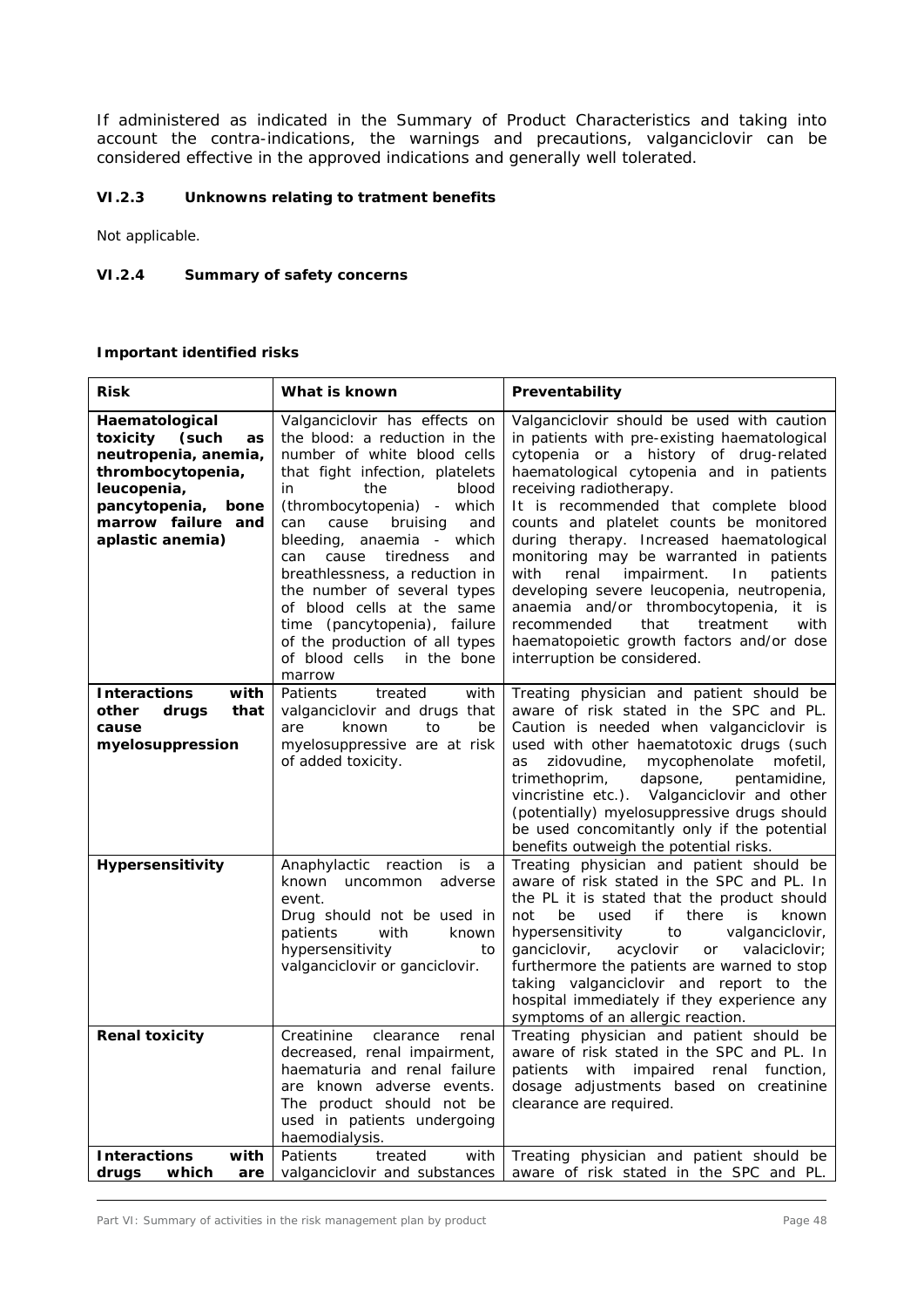If administered as indicated in the Summary of Product Characteristics and taking into account the contra-indications, the warnings and precautions, valganciclovir can be considered effective in the approved indications and generally well tolerated.

### *VI.2.3 Unknowns relating to tratment benefits*

Not applicable.

#### *VI.2.4 Summary of safety concerns*

## **Important identified risks**

| <b>Risk</b>                                                                                                                                                              | What is known                                                                                                                                                                                                                                                                                                                                                                                                                                                                                        | Preventability                                                                                                                                                                                                                                                                                                                                                                                                                                                                                                                                                                                                                                           |
|--------------------------------------------------------------------------------------------------------------------------------------------------------------------------|------------------------------------------------------------------------------------------------------------------------------------------------------------------------------------------------------------------------------------------------------------------------------------------------------------------------------------------------------------------------------------------------------------------------------------------------------------------------------------------------------|----------------------------------------------------------------------------------------------------------------------------------------------------------------------------------------------------------------------------------------------------------------------------------------------------------------------------------------------------------------------------------------------------------------------------------------------------------------------------------------------------------------------------------------------------------------------------------------------------------------------------------------------------------|
| Haematological<br>toxicity<br>(such<br>as<br>neutropenia, anemia,<br>thrombocytopenia,<br>leucopenia,<br>pancytopenia,<br>bone<br>marrow failure and<br>aplastic anemia) | Valganciclovir has effects on<br>the blood: a reduction in the<br>number of white blood cells<br>that fight infection, platelets<br>the<br>blood<br>in<br>(thrombocytopenia) - which<br>cause<br>bruising<br>can<br>and<br>bleeding,<br>anaemia - which<br>cause<br>tiredness<br>can<br>and<br>breathlessness, a reduction in<br>the number of several types<br>of blood cells at the same<br>time (pancytopenia), failure<br>of the production of all types<br>of blood cells in the bone<br>marrow | Valganciclovir should be used with caution<br>in patients with pre-existing haematological<br>cytopenia or a history of drug-related<br>haematological cytopenia and in patients<br>receiving radiotherapy.<br>It is recommended that complete blood<br>counts and platelet counts be monitored<br>during therapy. Increased haematological<br>monitoring may be warranted in patients<br>with<br>renal<br>impairment.<br>In<br>patients<br>developing severe leucopenia, neutropenia,<br>anaemia and/or thrombocytopenia, it is<br>recommended<br>that<br>treatment<br>with<br>haematopoietic growth factors and/or dose<br>interruption be considered. |
| with<br><b>Interactions</b><br>other<br>drugs<br>that<br>cause<br>myelosuppression                                                                                       | Patients<br>treated<br>with<br>valganciclovir and drugs that<br>are<br>to<br>be<br>known<br>myelosuppressive are at risk<br>of added toxicity.                                                                                                                                                                                                                                                                                                                                                       | Treating physician and patient should be<br>aware of risk stated in the SPC and PL.<br>Caution is needed when valganciclovir is<br>used with other haematotoxic drugs (such<br>zidovudine,<br>mycophenolate<br>mofetil,<br>as<br>trimethoprim,<br>dapsone,<br>pentamidine,<br>vincristine etc.). Valganciclovir and other<br>(potentially) myelosuppressive drugs should<br>be used concomitantly only if the potential<br>benefits outweigh the potential risks.                                                                                                                                                                                        |
| Hypersensitivity                                                                                                                                                         | Anaphylactic reaction is<br>a a<br>known uncommon adverse<br>event.<br>Drug should not be used in<br>patients<br>with<br>known<br>hypersensitivity<br>to<br>valganciclovir or ganciclovir.                                                                                                                                                                                                                                                                                                           | Treating physician and patient should be<br>aware of risk stated in the SPC and PL. In<br>the PL it is stated that the product should<br>be<br>used<br>if<br>there<br>known<br>not<br>is.<br>hypersensitivity<br>to<br>valganciclovir,<br>ganciclovir,<br>acyclovir<br>or<br>valaciclovir;<br>furthermore the patients are warned to stop<br>taking valganciclovir and report to the<br>hospital immediately if they experience any<br>symptoms of an allergic reaction.                                                                                                                                                                                 |
| <b>Renal toxicity</b>                                                                                                                                                    | Creatinine<br>clearance<br>renal<br>decreased, renal impairment,<br>haematuria and renal failure<br>are known adverse events.<br>The product should not be<br>used in patients undergoing<br>haemodialysis.                                                                                                                                                                                                                                                                                          | Treating physician and patient should be<br>aware of risk stated in the SPC and PL. In<br>patients with impaired renal function,<br>dosage adjustments based on creatinine<br>clearance are required.                                                                                                                                                                                                                                                                                                                                                                                                                                                    |
| with<br><b>Interactions</b><br>drugs<br>which<br>are                                                                                                                     | Patients<br>treated<br>with<br>valganciclovir and substances                                                                                                                                                                                                                                                                                                                                                                                                                                         | Treating physician and patient should be<br>aware of risk stated in the SPC and PL.                                                                                                                                                                                                                                                                                                                                                                                                                                                                                                                                                                      |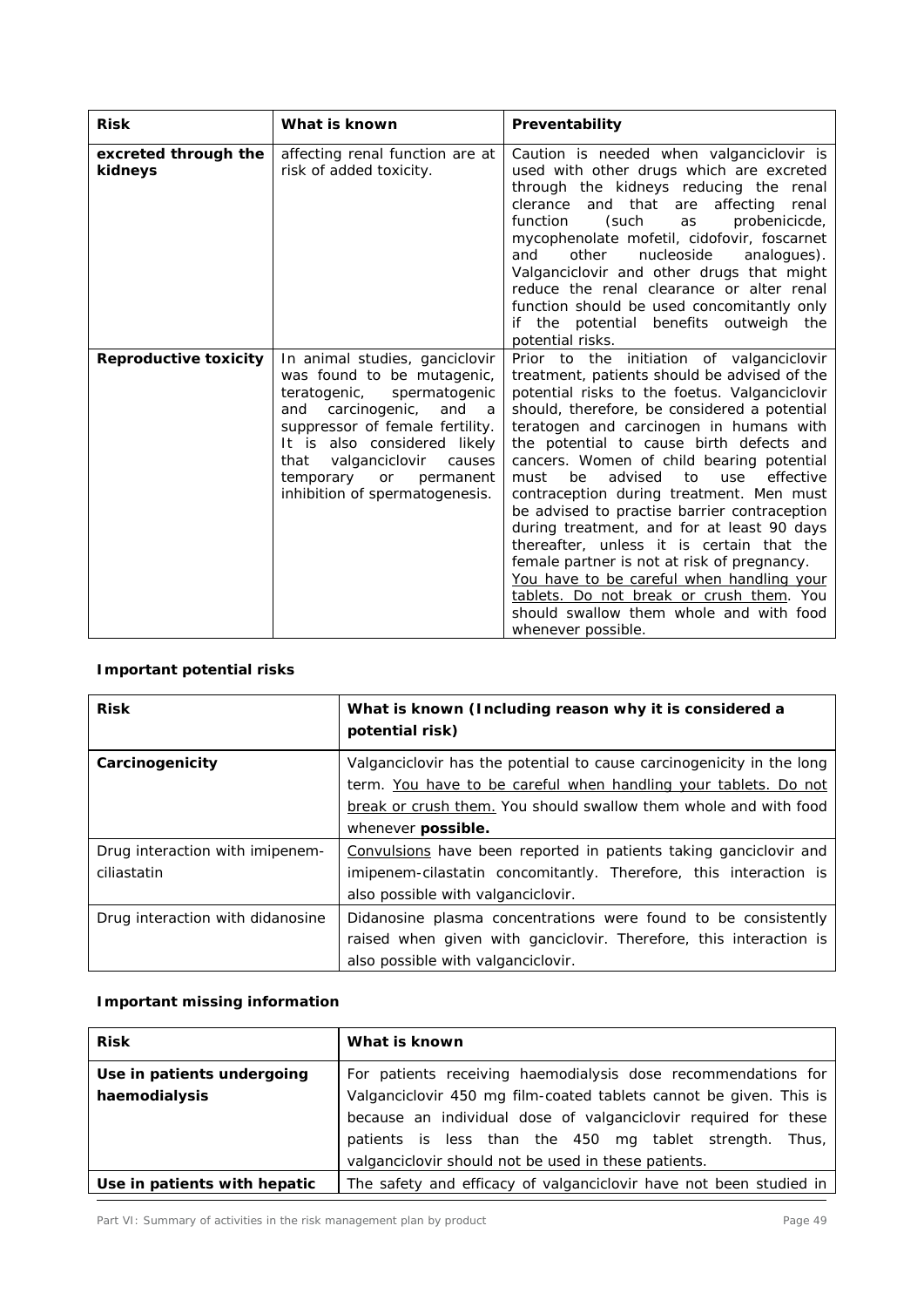| <b>Risk</b>                     | What is known                                                                                                                                                                                                                                                                                                       | Preventability                                                                                                                                                                                                                                                                                                                                                                                                                                                                                                                                                                                                                                                                                                                                                                    |
|---------------------------------|---------------------------------------------------------------------------------------------------------------------------------------------------------------------------------------------------------------------------------------------------------------------------------------------------------------------|-----------------------------------------------------------------------------------------------------------------------------------------------------------------------------------------------------------------------------------------------------------------------------------------------------------------------------------------------------------------------------------------------------------------------------------------------------------------------------------------------------------------------------------------------------------------------------------------------------------------------------------------------------------------------------------------------------------------------------------------------------------------------------------|
| excreted through the<br>kidneys | affecting renal function are at<br>risk of added toxicity.                                                                                                                                                                                                                                                          | Caution is needed when valganciclovir is<br>used with other drugs which are excreted<br>through the kidneys reducing the renal<br>that<br>clerance<br>affecting<br>and<br>are<br>renal<br>function<br>(such<br>probenicicde,<br>as<br>mycophenolate mofetil, cidofovir, foscarnet<br>nucleoside<br>other<br>analogues).<br>and<br>Valganciclovir and other drugs that might<br>reduce the renal clearance or alter renal<br>function should be used concomitantly only<br>if the potential benefits outweigh the<br>potential risks.                                                                                                                                                                                                                                              |
| <b>Reproductive toxicity</b>    | In animal studies, ganciclovir<br>was found to be mutagenic,<br>teratogenic,<br>spermatogenic<br>carcinogenic,<br>and<br>and<br>- a<br>suppressor of female fertility.<br>It is also considered likely<br>valganciclovir<br>that<br>causes<br>temporary<br><b>or</b><br>permanent<br>inhibition of spermatogenesis. | Prior to the initiation of valganciclovir<br>treatment, patients should be advised of the<br>potential risks to the foetus. Valganciclovir<br>should, therefore, be considered a potential<br>teratogen and carcinogen in humans with<br>the potential to cause birth defects and<br>cancers. Women of child bearing potential<br>effective<br>be<br>advised<br>to<br>must<br>use<br>contraception during treatment. Men must<br>be advised to practise barrier contraception<br>during treatment, and for at least 90 days<br>thereafter, unless it is certain that the<br>female partner is not at risk of pregnancy.<br>You have to be careful when handling your<br>tablets. Do not break or crush them. You<br>should swallow them whole and with food<br>whenever possible. |

# **Important potential risks**

| <b>Risk</b>                      | What is known (Including reason why it is considered a<br>potential risk) |  |
|----------------------------------|---------------------------------------------------------------------------|--|
| Carcinogenicity                  | Valganciclovir has the potential to cause carcinogenicity in the long     |  |
|                                  | term. You have to be careful when handling your tablets. Do not           |  |
|                                  | break or crush them. You should swallow them whole and with food          |  |
|                                  | whenever possible.                                                        |  |
| Drug interaction with imipenem-  | Convulsions have been reported in patients taking ganciclovir and         |  |
| ciliastatin                      | imipenem-cilastatin concomitantly. Therefore, this interaction is         |  |
|                                  | also possible with valganciclovir.                                        |  |
| Drug interaction with didanosine | Didanosine plasma concentrations were found to be consistently            |  |
|                                  | raised when given with ganciclovir. Therefore, this interaction is        |  |
|                                  | also possible with valganciclovir.                                        |  |

# **Important missing information**

| <b>Risk</b>                  | What is known                                                      |  |
|------------------------------|--------------------------------------------------------------------|--|
| Use in patients undergoing   | For patients receiving haemodialysis dose recommendations for      |  |
| haemodialysis                | Valganciclovir 450 mg film-coated tablets cannot be given. This is |  |
|                              | because an individual dose of valganciclovir required for these    |  |
|                              | patients is less than the 450 mg tablet strength.<br>Thus,         |  |
|                              | valganciclovir should not be used in these patients.               |  |
| Use in patients with hepatic | The safety and efficacy of valganciclovir have not been studied in |  |

Part VI: Summary of activities in the risk management plan by product Page 49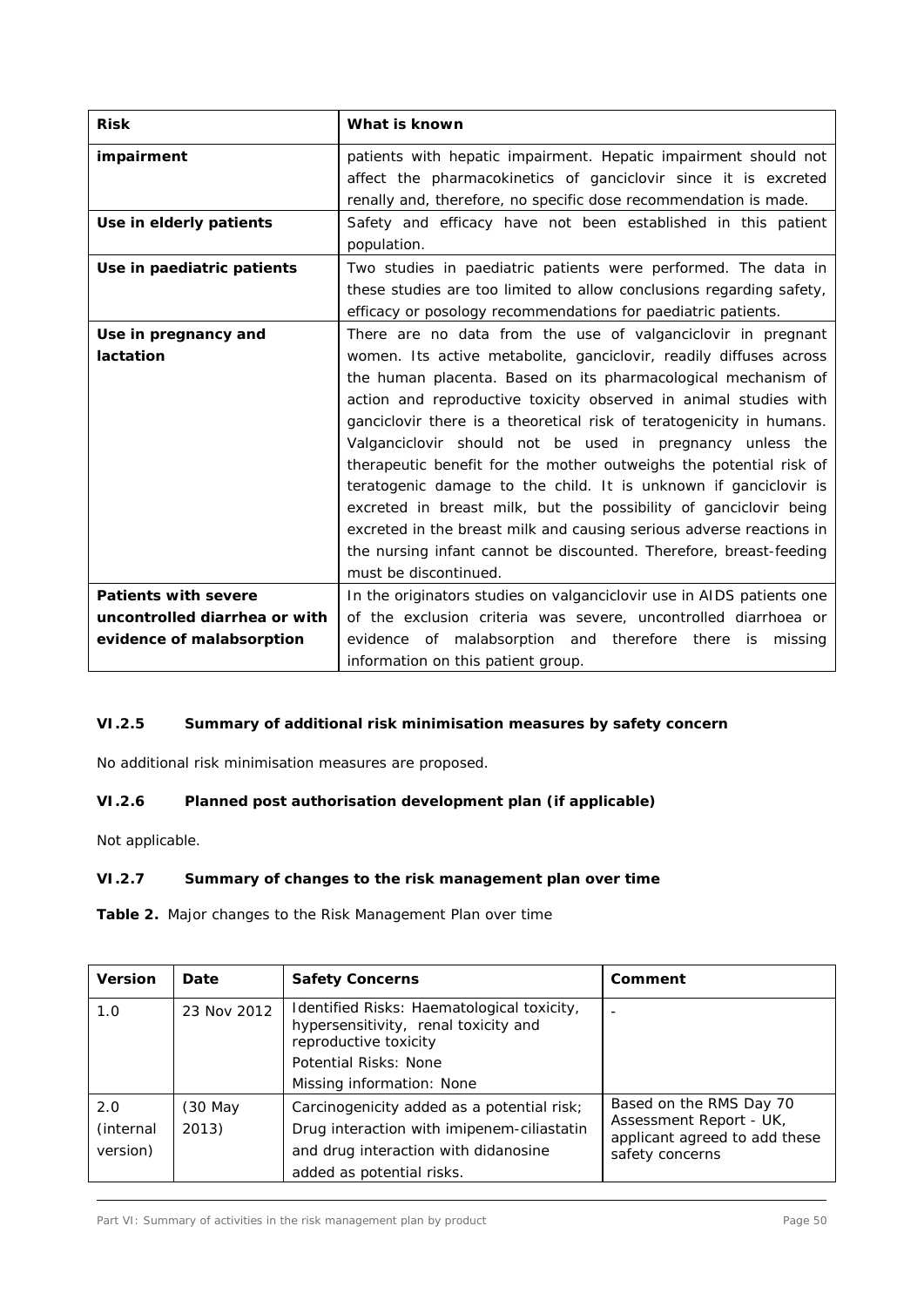| <b>Risk</b>                   | What is known                                                         |  |
|-------------------------------|-----------------------------------------------------------------------|--|
| impairment                    | patients with hepatic impairment. Hepatic impairment should not       |  |
|                               | affect the pharmacokinetics of ganciclovir since it is excreted       |  |
|                               | renally and, therefore, no specific dose recommendation is made.      |  |
| Use in elderly patients       | Safety and efficacy have not been established in this patient         |  |
|                               | population.                                                           |  |
| Use in paediatric patients    | Two studies in paediatric patients were performed. The data in        |  |
|                               | these studies are too limited to allow conclusions regarding safety,  |  |
|                               | efficacy or posology recommendations for paediatric patients.         |  |
| Use in pregnancy and          | There are no data from the use of valganciclovir in pregnant          |  |
| lactation                     | women. Its active metabolite, ganciclovir, readily diffuses across    |  |
|                               | the human placenta. Based on its pharmacological mechanism of         |  |
|                               | action and reproductive toxicity observed in animal studies with      |  |
|                               | ganciclovir there is a theoretical risk of teratogenicity in humans.  |  |
|                               | Valganciclovir should not be used in pregnancy unless the             |  |
|                               | therapeutic benefit for the mother outweighs the potential risk of    |  |
|                               | teratogenic damage to the child. It is unknown if ganciclovir is      |  |
|                               | excreted in breast milk, but the possibility of ganciclovir being     |  |
|                               | excreted in the breast milk and causing serious adverse reactions in  |  |
|                               | the nursing infant cannot be discounted. Therefore, breast-feeding    |  |
|                               | must be discontinued.                                                 |  |
| <b>Patients with severe</b>   | In the originators studies on valganciclovir use in AIDS patients one |  |
| uncontrolled diarrhea or with | of the exclusion criteria was severe, uncontrolled diarrhoea or       |  |
| evidence of malabsorption     | evidence of malabsorption and therefore there<br>missing<br>is        |  |
|                               | information on this patient group.                                    |  |

# *VI.2.5 Summary of additional risk minimisation measures by safety concern*

No additional risk minimisation measures are proposed.

## *VI.2.6 Planned post authorisation development plan (if applicable)*

Not applicable.

## *VI.2.7 Summary of changes to the risk management plan over time*

**Table 2.** Major changes to the Risk Management Plan over time

| <b>Version</b>                | Date             | <b>Safety Concerns</b>                                                                                                                                            | Comment                                                                                                |
|-------------------------------|------------------|-------------------------------------------------------------------------------------------------------------------------------------------------------------------|--------------------------------------------------------------------------------------------------------|
| 1.0                           | 23 Nov 2012      | Identified Risks: Haematological toxicity,<br>hypersensitivity, renal toxicity and<br>reproductive toxicity<br>Potential Risks: None<br>Missing information: None |                                                                                                        |
| 2.0<br>(internal)<br>version) | (30 May<br>2013) | Carcinogenicity added as a potential risk;<br>Drug interaction with imipenem-ciliastatin<br>and drug interaction with didanosine<br>added as potential risks.     | Based on the RMS Day 70<br>Assessment Report - UK,<br>applicant agreed to add these<br>safety concerns |